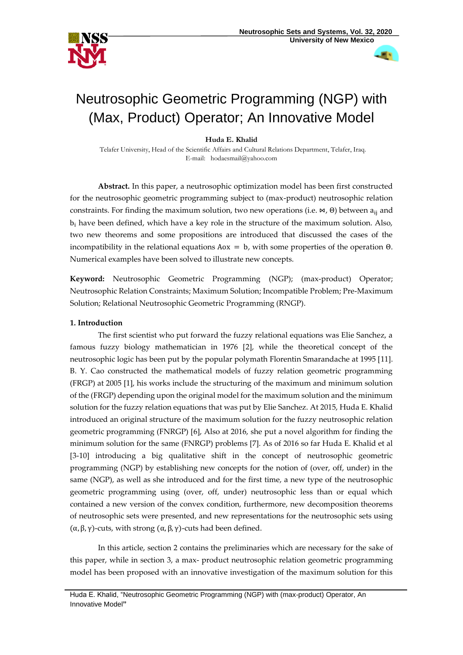

a k

# Neutrosophic Geometric Programming (NGP) with (Max, Product) Operator; An Innovative Model

# **Huda E. Khalid**

Telafer University, Head of the Scientific Affairs and Cultural Relations Department, Telafer, Iraq. E-mail: [hodaesmail@yahoo.com](mailto:hodaesmail@yahoo.com)

**Abstract.** In this paper, a neutrosophic optimization model has been first constructed for the neutrosophic geometric programming subject to (max-product) neutrosophic relation constraints. For finding the maximum solution, two new operations (i.e.  $\bowtie$ ,  $\Theta$ ) between a<sub>ij</sub> and  $b_i$  have been defined, which have a key role in the structure of the maximum solution. Also, two new theorems and some propositions are introduced that discussed the cases of the incompatibility in the relational equations  $A \circ x = b$ , with some properties of the operation  $\Theta$ . Numerical examples have been solved to illustrate new concepts.

**Keyword:** Neutrosophic Geometric Programming (NGP); (max-product) Operator; Neutrosophic Relation Constraints; Maximum Solution; Incompatible Problem; Pre-Maximum Solution; Relational Neutrosophic Geometric Programming (RNGP).

# **1. Introduction**

The first scientist who put forward the fuzzy relational equations was Elie Sanchez, a famous fuzzy biology mathematician in 1976 [2], while the theoretical concept of the neutrosophic logic has been put by the popular polymath Florentin Smarandache at 1995 [11]. B. Y. Cao constructed the mathematical models of fuzzy relation geometric programming (FRGP) at 2005 [1], his works include the structuring of the maximum and minimum solution of the (FRGP) depending upon the original model for the maximum solution and the minimum solution for the fuzzy relation equations that was put by Elie Sanchez. At 2015, Huda E. Khalid introduced an original structure of the maximum solution for the fuzzy neutrosophic relation geometric programming (FNRGP) [6], Also at 2016, she put a novel algorithm for finding the minimum solution for the same (FNRGP) problems [7]. As of 2016 so far Huda E. Khalid et al [3-10] introducing a big qualitative shift in the concept of neutrosophic geometric programming (NGP) by establishing new concepts for the notion of (over, off, under) in the same (NGP), as well as she introduced and for the first time, a new type of the neutrosophic geometric programming using (over, off, under) neutrosophic less than or equal which contained a new version of the convex condition, furthermore, new decomposition theorems of neutrosophic sets were presented, and new representations for the neutrosophic sets using (α, β, γ)-cuts, with strong (α, β, γ)-cuts had been defined.

In this article, section 2 contains the preliminaries which are necessary for the sake of this paper, while in section 3, a max- product neutrosophic relation geometric programming model has been proposed with an innovative investigation of the maximum solution for this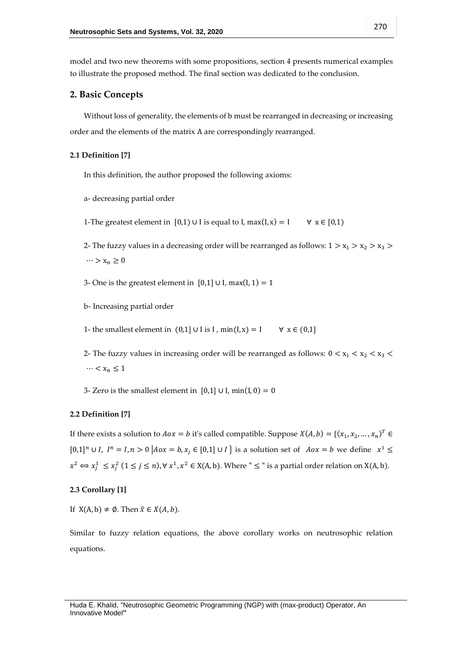model and two new theorems with some propositions, section 4 presents numerical examples to illustrate the proposed method. The final section was dedicated to the conclusion.

# **2. Basic Concepts**

Without loss of generality, the elements of b must be rearranged in decreasing or increasing order and the elements of the matrix A are correspondingly rearranged.

## **2.1 Definition [7]**

In this definition, the author proposed the following axioms:

- a- decreasing partial order
- 1-The greatest element in [0,1) ∪ I is equal to I, max(I, x) = I  $\forall$  x  $\in$  [0,1)
- 2- The fuzzy values in a decreasing order will be rearranged as follows:  $1 > x_1 > x_2 > x_3 >$  $\cdots > x_n \geq 0$
- 3- One is the greatest element in  $[0,1]$  ∪ I, max $(I, 1) = 1$
- b- Increasing partial order

1- the smallest element in  $(0,1]$  ∪ I is I, min(I, x) = I  $\forall$  x ∈ (0,1]

- 2- The fuzzy values in increasing order will be rearranged as follows:  $0 < x_1 < x_2 < x_3$  $\cdots < x_n \leq 1$
- 3- Zero is the smallest element in  $[0,1]$  ∪ I, min(I, 0) = 0

# **2.2 Definition [7]**

If there exists a solution to  $Aox = b$  it's called compatible. Suppose  $X(A, b) = \{(x_1, x_2, ..., x_n)^T \in$  $[0,1]^n \cup I$ ,  $I^n = I, n > 0$   $A \circ x = b, x_j \in [0,1] \cup I$  is a solution set of  $A \circ x = b$  we define  $x^1 \leq$  $x^2 \Leftrightarrow x_j^1 \le x_j^2$   $(1 \le j \le n)$ ,  $\forall x^1, x^2 \in X(A, b)$ . Where " $\le$ " is a partial order relation on  $X(A, b)$ .

# **2.3 Corollary [1]**

If  $X(A, b) \neq \emptyset$ . Then  $\hat{x} \in X(A, b)$ .

Similar to fuzzy relation equations, the above corollary works on neutrosophic relation equations.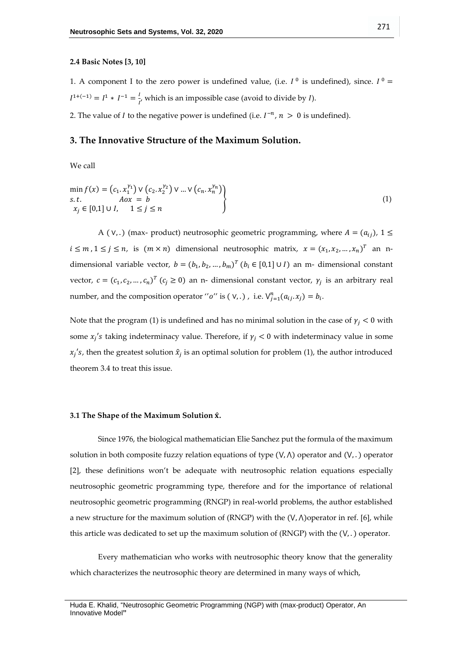#### **2.4 Basic Notes [3, 10]**

1. A component I to the zero power is undefined value, (i.e.  $I^0$  is undefined), since.  $I^0$  =  $I^{1+(-1)} = I^1 * I^{-1} = \frac{I}{I}$  $\frac{1}{I'}$  which is an impossible case (avoid to divide by *I*).

2. The value of *I* to the negative power is undefined (i.e.  $I^{-n}$ ,  $n > 0$  is undefined).

# **3. The Innovative Structure of the Maximum Solution.**

We call

$$
\min_{S.t.} f(x) = (c_1 \cdot x_1^{\gamma_1}) \vee (c_2 \cdot x_2^{\gamma_2}) \vee ... \vee (c_n \cdot x_n^{\gamma_n})
$$
  
s.t.  $Aox = b$   
 $x_j \in [0,1] \cup I, \quad 1 \le j \le n$  (1)

A ( $V,$ .) (max- product) neutrosophic geometric programming, where  $A = (a_{ij})$ ,  $1 \leq$  $i \leq m$ ,  $1 \leq j \leq n$ , is  $(m \times n)$  dimensional neutrosophic matrix,  $x = (x_1, x_2, ..., x_n)^T$  an ndimensional variable vector,  $b = (b_1, b_2, ..., b_m)^T$   $(b_i \in [0,1] \cup I)$  an m- dimensional constant vector,  $c = (c_1, c_2, ..., c_n)^T$   $(c_j \ge 0)$  an n- dimensional constant vector,  $\gamma_j$  is an arbitrary real number, and the composition operator "o" is  $(v,.)$ , i.e.  $V_{j=1}^n(a_{ij}, x_j) = b_i$ .

Note that the program (1) is undefined and has no minimal solution in the case of  $\gamma_i$  < 0 with some  $x_j$ 's taking indeterminacy value. Therefore, if  $\gamma_j < 0$  with indeterminacy value in some  $x_j$ 's, then the greatest solution  $\hat{x}_j$  is an optimal solution for problem (1), the author introduced theorem 3.4 to treat this issue.

#### **3.1 The Shape of the Maximum Solution** ̂**.**

Since 1976, the biological mathematician Elie Sanchez put the formula of the maximum solution in both composite fuzzy relation equations of type  $(V, \Lambda)$  operator and  $(V, .)$  operator [2], these definitions won't be adequate with neutrosophic relation equations especially neutrosophic geometric programming type, therefore and for the importance of relational neutrosophic geometric programming (RNGP) in real-world problems, the author established a new structure for the maximum solution of (RNGP) with the  $(V, \Lambda)$ operator in ref. [6], while this article was dedicated to set up the maximum solution of (RNGP) with the  $(V, .)$  operator.

Every mathematician who works with neutrosophic theory know that the generality which characterizes the neutrosophic theory are determined in many ways of which,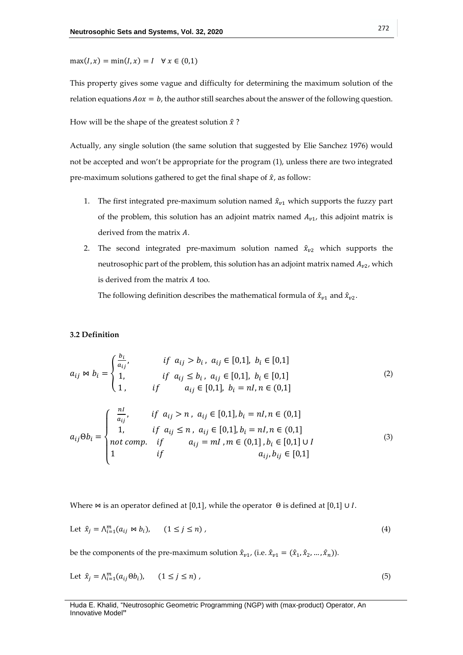$max(I, x) = min(I, x) = I \quad \forall x \in (0,1)$ 

This property gives some vague and difficulty for determining the maximum solution of the relation equations  $Aox = b$ , the author still searches about the answer of the following question.

How will be the shape of the greatest solution  $\hat{x}$  ?

Actually, any single solution (the same solution that suggested by Elie Sanchez 1976) would not be accepted and won't be appropriate for the program (1), unless there are two integrated pre-maximum solutions gathered to get the final shape of  $\hat{x}$ , as follow:

- 1. The first integrated pre-maximum solution named  $\hat{x}_{v1}$  which supports the fuzzy part of the problem, this solution has an adjoint matrix named  $A_{\nu 1}$ , this adjoint matrix is derived from the matrix  $A$ .
- 2. The second integrated pre-maximum solution named  $\hat{x}_{v2}$  which supports the neutrosophic part of the problem, this solution has an adjoint matrix named  $A_{\nu 2}$ , which is derived from the matrix  $A$  too.

The following definition describes the mathematical formula of  $\hat{x}_{v1}$  and  $\hat{x}_{v2}$ .

# **3.2 Definition**

$$
a_{ij} \bowtie b_i = \begin{cases} \frac{b_i}{a_{ij}}, & \text{if } a_{ij} > b_i, \ a_{ij} \in [0,1], \ b_i \in [0,1] \\ 1, & \text{if } a_{ij} \le b_i, \ a_{ij} \in [0,1], \ b_i \in [0,1] \\ 1, & \text{if } a_{ij} \in [0,1], \ b_i = nI, n \in (0,1] \end{cases} \tag{2}
$$
\n
$$
a_{ij} \Theta b_i = \begin{cases} \frac{nI}{a_{ij}}, & \text{if } a_{ij} > n, \ a_{ij} \in [0,1], b_i = nI, n \in (0,1] \\ 1, & \text{if } a_{ij} \le n, \ a_{ij} \in [0,1], b_i = nI, n \in (0,1] \\ 1, & \text{if } a_{ij} = mI, m \in (0,1], b_i \in [0,1] \cup I \\ 1, & \text{if } a_{ij} = mI, m \in (0,1], b_i \in [0,1] \cup I \\ 1, & \text{if } a_{ij} = mI, n \in (0,1], b_i \in [0,1] \end{cases} \tag{3}
$$

Where  $\bowtie$  is an operator defined at [0,1], while the operator  $\Theta$  is defined at [0,1] ∪ *I*.

Let 
$$
\hat{x}_j = \bigwedge_{i=1}^m (a_{ij} \bowtie b_i), \quad (1 \le j \le n)
$$
, 
$$
(4)
$$

be the components of the pre-maximum solution  $\hat{x}_{v1}$ , (i.e.  $\hat{x}_{v1} = (\hat{x}_1, \hat{x}_2, ..., \hat{x}_n)$ ).

Let 
$$
\hat{x}_j = \bigwedge_{i=1}^m (a_{ij} \Theta b_i), \qquad (1 \le j \le n),
$$
 (5)

Huda E. Khalid, "Neutrosophic Geometric Programming (NGP) with (max-product) Operator, An Innovative Model**"**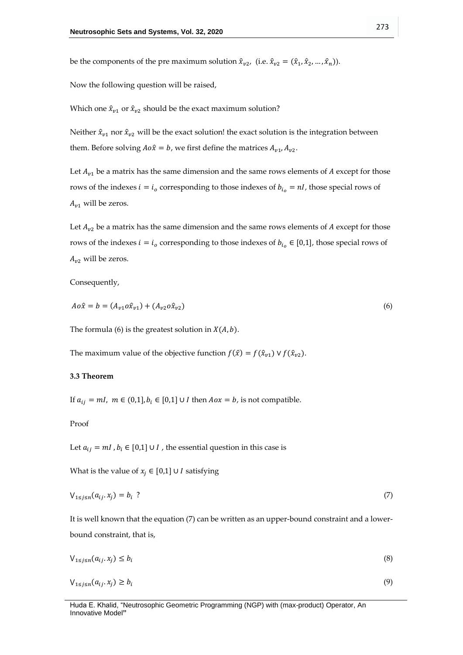be the components of the pre maximum solution  $\hat{x}_{v2}$ , (i.e.  $\hat{x}_{v2} = (\hat{x}_1, \hat{x}_2, ..., \hat{x}_n)$ ).

Now the following question will be raised,

Which one  $\hat{x}_{v1}$  or  $\hat{x}_{v2}$  should be the exact maximum solution?

Neither  $\hat{x}_{v1}$  nor  $\hat{x}_{v2}$  will be the exact solution! the exact solution is the integration between them. Before solving  $A \circ \hat{x} = b$ , we first define the matrices  $A_{v1}$ ,  $A_{v2}$ .

Let  $A_{v1}$  be a matrix has the same dimension and the same rows elements of A except for those rows of the indexes  $i = i_0$  corresponding to those indexes of  $b_{i_0} = nI$ , those special rows of  $A_{\nu 1}$  will be zeros.

Let  $A_{v2}$  be a matrix has the same dimension and the same rows elements of A except for those rows of the indexes  $i = i_o$  corresponding to those indexes of  $b_{i_o} \in [0,1]$ , those special rows of  $A_{v2}$  will be zeros.

Consequently,

$$
A \circ \hat{x} = b = (A_{v1} \circ \hat{x}_{v1}) + (A_{v2} \circ \hat{x}_{v2})
$$
\n(6)

The formula (6) is the greatest solution in  $X(A, b)$ .

The maximum value of the objective function  $f(\hat{x}) = f(\hat{x}_{v1}) \vee f(\hat{x}_{v2})$ .

## **3.3 Theorem**

If  $a_{ij} = ml$ ,  $m \in (0,1], b_i \in [0,1] \cup I$  then  $Aox = b$ , is not compatible.

Proof

Let  $a_{ij} = ml$ ,  $b_i \in [0,1] \cup I$ , the essential question in this case is

What is the value of  $x_i$  ∈ [0,1] ∪ *I* satisfying

$$
V_{1 \le j \le n}(a_{ij}, x_j) = b_i
$$
 (7)

It is well known that the equation (7) can be written as an upper-bound constraint and a lowerbound constraint, that is,

$$
V_{1 \le j \le n}(a_{ij}, x_j) \le b_i \tag{8}
$$

$$
\mathcal{V}_{1 \le j \le n}(a_{ij}, x_j) \ge b_i \tag{9}
$$

Huda E. Khalid, "Neutrosophic Geometric Programming (NGP) with (max-product) Operator, An Innovative Model**"**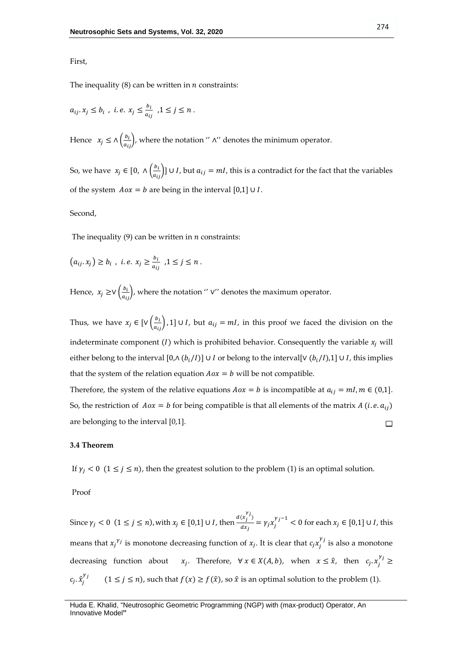## First,

The inequality  $(8)$  can be written in *n* constraints:

$$
a_{ij}.x_j \le b_i \text{ , i.e. } x_j \le \frac{b_i}{a_{ij}} \text{ , } 1 \le j \le n .
$$

Hence  $x_j \le \Lambda \left( \frac{b_i}{a_{ij}} \right)$ , where the notation ''  $\Lambda$ '' denotes the minimum operator.

So, we have  $x_j \in [0, \Lambda(\frac{b_i}{a_j}))$  $\left[\frac{b_i}{a_{ij}}\right]$ ] ∪ *I*, but  $a_{ij} = mI$ , this is a contradict for the fact that the variables of the system  $Aox = b$  are being in the interval [0,1] ∪ *I*.

#### Second,

The inequality  $(9)$  can be written in *n* constraints:

$$
(a_{ij}.x_j) \ge b_i , i.e. x_j \ge \frac{b_i}{a_{ij}} , 1 \le j \le n .
$$

Hence,  $x_j \geq \vee \left(\frac{b_i}{a_{ij}}\right)$ , where the notation '' ∨'' denotes the maximum operator.

Thus, we have  $x_j \in [V(\frac{b_i}{a_{ij}}), 1] \cup I$ , but  $a_{ij} = ml$ , in this proof we faced the division on the indeterminate component (*I*) which is prohibited behavior. Consequently the variable  $x_i$  will either belong to the interval  $[0, \Lambda(b_i/I)] \cup I$  or belong to the interval[ $\vee (b_i/I)$ ,1]  $\cup I$ , this implies that the system of the relation equation  $Aox = b$  will be not compatible.

Therefore, the system of the relative equations  $Aox = b$  is incompatible at  $a_{ij} = ml$ ,  $m \in (0,1]$ . So, the restriction of  $Aox = b$  for being compatible is that all elements of the matrix A (i.e.  $a_{ij}$ ) are belonging to the interval [0,1].  $\Box$ 

#### **3.4 Theorem**

If  $\gamma_j < 0$  (1  $\le j \le n$ ), then the greatest solution to the problem (1) is an optimal solution.

Proof

Since  $\gamma_j < 0 \ (1 \le j \le n)$ , with  $x_j \in [0,1] \cup I$ , then  $\frac{d(x_j^{\gamma_j})}{dx_j}$  $\frac{(x_j')}{dx_j} = \gamma_j x_j^{\gamma_j - 1}$  < 0 for each  $x_j$  ∈ [0,1] ∪ *I*, this means that  $x_j^{\gamma_j}$  is monotone decreasing function of  $x_j$ . It is clear that  $c_j x_j^{\gamma_j}$  is also a monotone decreasing function about  $x_j$ . Therefore,  $\forall x \in X(A, b)$ , when  $x \leq \hat{x}$ , then  $c_j x_j^{\gamma_j} \geq$  $c_j$ .  $\hat{x}_j$  $v_j$  $(1 \le j \le n)$ , such that  $f(x) \ge f(\hat{x})$ , so  $\hat{x}$  is an optimal solution to the problem (1).

Huda E. Khalid, "Neutrosophic Geometric Programming (NGP) with (max-product) Operator, An Innovative Model**"**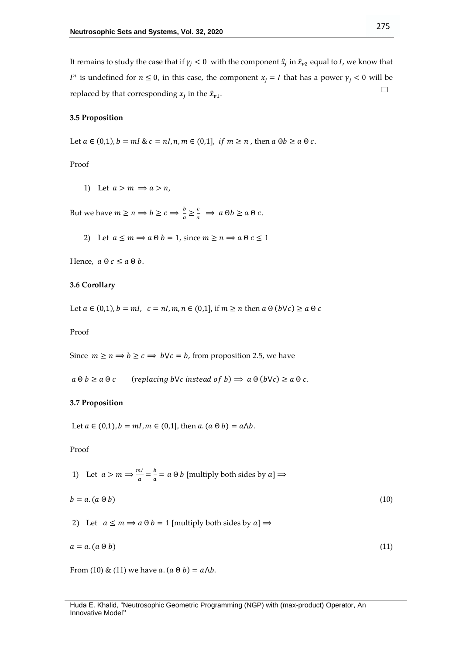It remains to study the case that if  $\gamma_j < 0$  with the component  $\hat{x}_j$  in  $\hat{x}_{\nu 2}$  equal to *I*, we know that  $I^n$  is undefined for  $n \leq 0$ , in this case, the component  $x_j = I$  that has a power  $\gamma_j < 0$  will be  $\Box$ replaced by that corresponding  $x_j$  in the  $\hat{x}_{v1}$ .

# **3.5 Proposition**

Let  $a \in (0,1)$ ,  $b = ml \& c = nl$ ,  $n, m \in (0,1]$ , if  $m \ge n$ , then  $a \oplus b \ge a \oplus c$ .

Proof

1) Let  $a > m \Rightarrow a > n$ ,

But we have  $m \ge n \Longrightarrow b \ge c \Longrightarrow \frac{b}{a}$  $\frac{b}{a} \geq \frac{c}{a} \implies a \Theta b \geq a \Theta c.$ 

2) Let  $a \le m \Rightarrow a \theta b = 1$ , since  $m \ge n \Rightarrow a \theta c \le 1$ 

Hence,  $a \theta c \le a \theta b$ .

# **3.6 Corollary**

Let  $a \in (0,1)$ ,  $b = ml$ ,  $c = nl$ ,  $m, n \in (0,1]$ , if  $m \ge n$  then  $a \theta (b \vee c) \ge a \theta c$ 

Proof

Since  $m \ge n \Rightarrow b \ge c \Rightarrow b \lor c = b$ , from proposition 2.5, we have

 $a \theta b \ge a \theta c$  (replacing by c instead of b)  $\Rightarrow a \theta (b \vee c) \ge a \theta c$ .

## **3.7 Proposition**

Let  $a \in (0,1)$ ,  $b = ml$ ,  $m \in (0,1]$ , then  $a$ .  $(a \theta b) = a \Lambda b$ .

Proof

1) Let 
$$
a > m \Rightarrow \frac{ml}{a} = \frac{b}{a} = a \oplus b
$$
 [multiply both sides by  $a$ ]  $\Rightarrow$   
\n $b = a.(a \oplus b)$  (10)  
\n2) Let  $a \le m \Rightarrow a \oplus b = 1$  [multiply both sides by  $a$ ]  $\Rightarrow$ 

$$
a = a. (a \odot b) \tag{11}
$$

From (10) & (11) we have  $a. (a \theta b) = a \Lambda b$ .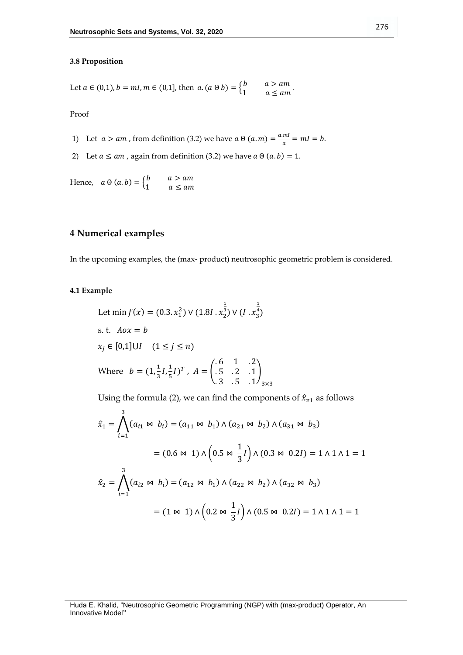## **3.8 Proposition**

Let 
$$
a \in (0,1)
$$
,  $b = ml$ ,  $m \in (0,1]$ , then  $a.(a \theta b) = \begin{cases} b & a > am \\ 1 & a \le am \end{cases}$ .

Proof

- 1) Let  $a > am$ , from definition (3.2) we have  $a \theta (a.m) = \frac{aml}{a}$  $\frac{m}{a} = mI = b.$
- 2) Let  $a \le am$ , again from definition (3.2) we have  $a \theta (a.b) = 1$ .

Hence,  $a \theta(a, b) = \begin{cases} b & a > am \\ 1 & a < am \end{cases}$ 1  $a \leq am$ 

# **4 Numerical examples**

In the upcoming examples, the (max- product) neutrosophic geometric problem is considered.

# **4.1 Example**

Let 
$$
\min f(x) = (0.3 \cdot x_1^2) \vee (1.81 \cdot x_2^{\frac{1}{3}}) \vee (1 \cdot x_3^{\frac{1}{4}})
$$
  
s. t.  $Aox = b$   
 $x_j \in [0,1] \cup I \quad (1 \le j \le n)$   
Where  $b = (1, \frac{1}{3}I, \frac{1}{5}I)^T$ ,  $A = \begin{pmatrix} .6 & 1 & .2 \\ .5 & .2 & .1 \\ .3 & .5 & .1 \end{pmatrix}_{3 \times 3}$ 

Using the formula (2), we can find the components of  $\hat{x}_{v1}$  as follows

$$
\hat{x}_1 = \bigwedge_{i=1}^3 (a_{i1} \bowtie b_i) = (a_{11} \bowtie b_1) \land (a_{21} \bowtie b_2) \land (a_{31} \bowtie b_3)
$$
  

$$
= (0.6 \bowtie 1) \land (0.5 \bowtie \frac{1}{3}I) \land (0.3 \bowtie 0.2I) = 1 \land 1 \land 1 = 1
$$
  

$$
\hat{x}_2 = \bigwedge_{i=1}^3 (a_{i2} \bowtie b_i) = (a_{12} \bowtie b_1) \land (a_{22} \bowtie b_2) \land (a_{32} \bowtie b_3)
$$
  

$$
= (1 \bowtie 1) \land (0.2 \bowtie \frac{1}{3}I) \land (0.5 \bowtie 0.2I) = 1 \land 1 \land 1 = 1
$$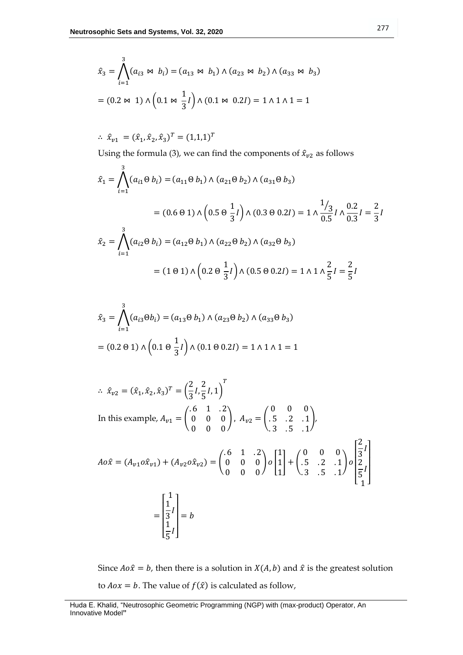$$
\hat{x}_3 = \bigwedge_{i=1}^3 (a_{i3} \bowtie b_i) = (a_{13} \bowtie b_1) \land (a_{23} \bowtie b_2) \land (a_{33} \bowtie b_3)
$$

$$
= (0.2 \bowtie 1) \land (0.1 \bowtie \frac{1}{3}l) \land (0.1 \bowtie 0.2l) = 1 \land 1 \land 1 = 1
$$

 $\therefore \ \hat{x}_{v1} = (\hat{x}_1, \hat{x}_2, \hat{x}_3)^T = (1, 1, 1)^T$ 

Using the formula (3), we can find the components of  $\hat{x}_{v2}$  as follows

$$
\hat{x}_1 = \bigwedge_{i=1}^3 (a_{i1} \Theta \ b_i) = (a_{11} \Theta \ b_1) \wedge (a_{21} \Theta \ b_2) \wedge (a_{31} \Theta \ b_3)
$$
  
= (0.6 \Theta 1) \wedge (0.5 \Theta \frac{1}{3}I) \wedge (0.3 \Theta 0.2I) = 1 \wedge \frac{1/3}{0.5} I \wedge \frac{0.2}{0.3} I = \frac{2}{3} I  

$$
\hat{x}_2 = \bigwedge_{i=1}^3 (a_{i2} \Theta \ b_i) = (a_{12} \Theta \ b_1) \wedge (a_{22} \Theta \ b_2) \wedge (a_{32} \Theta \ b_3)
$$
  
= (1 \Theta 1) \wedge (0.2 \Theta \frac{1}{3}I) \wedge (0.5 \Theta 0.2I) = 1 \wedge 1 \wedge \frac{2}{5} I = \frac{2}{5} I

$$
\hat{x}_3 = \bigwedge_{i=1}^3 (a_{i3} \Theta b_i) = (a_{13} \Theta b_1) \wedge (a_{23} \Theta b_2) \wedge (a_{33} \Theta b_3)
$$

$$
= (0.2 \Theta 1) \wedge (0.1 \Theta \frac{1}{3} I) \wedge (0.1 \Theta 0.2 I) = 1 \wedge 1 \wedge 1 = 1
$$

$$
\begin{aligned}\n\therefore \ \hat{x}_{v2} &= (\hat{x}_1, \hat{x}_2, \hat{x}_3)^T = \left(\frac{2}{3}I, \frac{2}{5}I, 1\right)^T \\
\text{In this example, } A_{v1} &= \begin{pmatrix} .6 & 1 & .2 \\ 0 & 0 & 0 \\ 0 & 0 & 0 \end{pmatrix}, \ A_{v2} = \begin{pmatrix} 0 & 0 & 0 \\ .5 & .2 & .1 \\ .3 & .5 & .1 \end{pmatrix}, \\
Ao\hat{x} &= (A_{v1}o\hat{x}_{v1}) + (A_{v2}o\hat{x}_{v2}) = \begin{pmatrix} .6 & 1 & .2 \\ 0 & 0 & 0 \\ 0 & 0 & 0 \end{pmatrix} o \begin{bmatrix} 1 \\ 1 \\ 1 \end{bmatrix} + \begin{pmatrix} 0 & 0 & 0 \\ .5 & .2 & .1 \\ .3 & .5 & .1 \end{pmatrix} o \begin{bmatrix} \frac{2}{3}I \\ \frac{2}{5}I \\ \frac{1}{5}I \end{bmatrix} \\
&= \begin{bmatrix} 1 \\ \frac{1}{3}I \\ \frac{1}{5}I \end{bmatrix} = b\n\end{aligned}
$$

Since  $A \circ \hat{x} = b$ , then there is a solution in  $X(A, b)$  and  $\hat{x}$  is the greatest solution to  $Aox = b$ . The value of  $f(\hat{x})$  is calculated as follow,

Huda E. Khalid, "Neutrosophic Geometric Programming (NGP) with (max-product) Operator, An Innovative Model**"**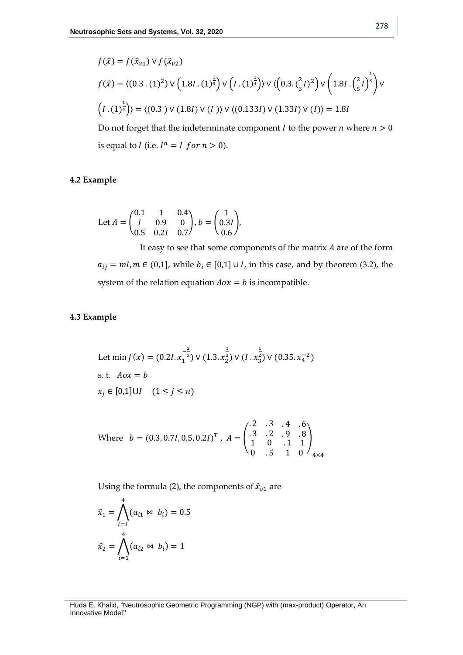$$
f(\hat{x}) = f(\hat{x}_{v1}) \vee f(\hat{x}_{v2})
$$
  
\n
$$
f(\hat{x}) = \langle (0.3 \cdot (1)^2) \vee (1.8I \cdot (1)^{\frac{1}{3}}) \vee (I \cdot (1)^{\frac{1}{4}}) \rangle \vee \langle (0.3 \cdot (\frac{2}{3}I)^2) \vee (1.8I \cdot (\frac{2}{5}I)^{\frac{1}{3}}) \vee (I \cdot (1)^{\frac{1}{4}}) \rangle = \langle (0.3) \vee (1.8I) \vee (I) \rangle \vee \langle (0.133I) \vee (1.33I) \vee (I) \rangle = 1.8I
$$

Do not forget that the indeterminate component  $I$  to the power  $n$  where  $n > 0$ is equal to *I* (i.e.  $I^n = I$  for  $n > 0$ ).

# **4.2 Example**

Let 
$$
A = \begin{pmatrix} 0.1 & 1 & 0.4 \\ I & 0.9 & 0 \\ 0.5 & 0.2I & 0.7 \end{pmatrix}
$$
,  $b = \begin{pmatrix} 1 \\ 0.3I \\ 0.6 \end{pmatrix}$ ,

It easy to see that some components of the matrix  $A$  are of the form  $a_{ij} = mI, m \in (0,1]$ , while  $b_i \in [0,1] \cup I$ , in this case, and by theorem (3.2), the system of the relation equation  $Aox = b$  is incompatible.

# **4.3 Example**

Let 
$$
\min f(x) = (0.2I. x_1^{-\frac{2}{3}}) \vee (1.3. x_2^{\frac{1}{3}}) \vee (I. x_3^{\frac{1}{2}}) \vee (0.35. x_4^{-2})
$$
  
s. t.  $Aox = b$   
 $x_j \in [0,1] \cup I \quad (1 \le j \le n)$ 

Where 
$$
b = (0.3, 0.7I, 0.5, 0.2I)^T
$$
,  $A = \begin{pmatrix} .2 & .3 & .4 & .6 \\ .3 & .2 & .9 & .8 \\ 1 & 0 & .1 & 1 \\ 0 & .5 & 1 & 0 \end{pmatrix}_{4 \times 4}$ 

Using the formula (2), the components of  $\hat{x}_{v1}$  are

$$
\hat{x}_1 = \bigwedge_{i=1}^4 (a_{i1} \bowtie b_i) = 0.5
$$

$$
\hat{x}_2 = \bigwedge_{i=1}^4 (a_{i2} \bowtie b_i) = 1
$$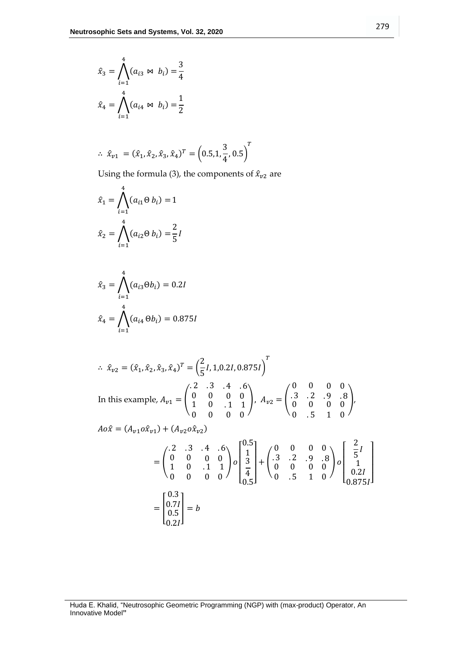$$
\hat{x}_3 = \bigwedge_{i=1}^4 (a_{i3} \bowtie b_i) = \frac{3}{4}
$$

$$
\hat{x}_4 = \bigwedge_{i=1}^4 (a_{i4} \bowtie b_i) = \frac{1}{2}
$$

$$
\therefore \ \hat{x}_{v1} = (\hat{x}_1, \hat{x}_2, \hat{x}_3, \hat{x}_4)^T = (0.5, 1, \frac{3}{4}, 0.5)^T
$$

Using the formula (3), the components of  $\hat{x}_{v2}$  are

$$
\hat{x}_1 = \bigwedge_{i=1}^4 (a_{i1} \Theta \ b_i) = 1
$$

$$
\hat{x}_2 = \bigwedge_{i=1}^4 (a_{i2} \Theta \ b_i) = \frac{2}{5}I
$$

44

$$
\hat{x}_3 = \bigwedge_{i=1}^4 (a_{i3} \Theta b_i) = 0.2I
$$
  

$$
\hat{x}_4 = \bigwedge_{i=1}^4 (a_{i4} \Theta b_i) = 0.875I
$$

$$
\hat{x}_{v2} = (\hat{x}_1, \hat{x}_2, \hat{x}_3, \hat{x}_4)^T = \left(\frac{2}{5}I, 1, 0.2I, 0.875I\right)^T
$$
  
\nIn this example,  $A_{v1} = \begin{pmatrix} .2 & .3 & .4 & .6 \\ 0 & 0 & 0 & 0 \\ 1 & 0 & .1 & 1 \end{pmatrix}, A_{v2} = \begin{pmatrix} 0 & 0 & 0 & 0 \\ .3 & .2 & .9 & .8 \\ 0 & 0 & 0 & 0 \end{pmatrix}$ ,  
\n $Ao\hat{x} = (A_{v1}o\hat{x}_{v1}) + (A_{v2}o\hat{x}_{v2})$   
\n
$$
= \begin{pmatrix} .2 & .3 & .4 & .6 \\ 0 & 0 & 0 & 0 \\ 1 & 0 & .1 & 1 \\ 0 & 0 & 0 & 0 \end{pmatrix} o \begin{pmatrix} 0.5 \\ 1 \\ 3 \\ 4 \\ 0.5 \end{pmatrix} + \begin{pmatrix} 0 & 0 & 0 & 0 \\ .3 & .2 & .9 & .8 \\ 0 & 0 & 0 & 0 \\ 0 & 0 & 0 & 0 \end{pmatrix} o \begin{pmatrix} \frac{2}{5}I \\ \frac{1}{5}I \\ 0 \\ \frac{1}{4} \\ 0.5I \end{pmatrix}
$$
  
\n
$$
= \begin{bmatrix} 0.3 \\ 0.7I \\ 0.5I \end{bmatrix} = b
$$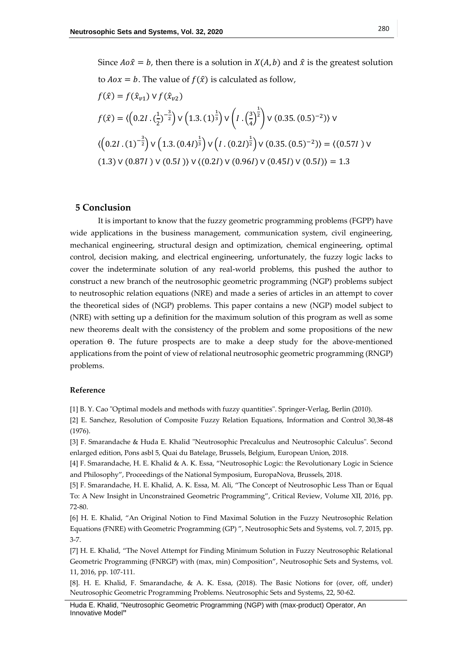to  $Aox = b$ . The value of  $f(\hat{x})$  is calculated as follow,

$$
f(\hat{x}) = f(\hat{x}_{\nu 1}) \vee f(\hat{x}_{\nu 2})
$$
  
\n
$$
f(\hat{x}) = \langle \left(0.2I \cdot (\frac{1}{2})^{-\frac{3}{2}}\right) \vee \left(1.3 \cdot (1)^{\frac{1}{3}}\right) \vee \left(I \cdot (\frac{3}{4})^{\frac{1}{2}}\right) \vee (0.35 \cdot (0.5)^{-2}) \vee
$$
  
\n
$$
\langle \left(0.2I \cdot (1)^{-\frac{3}{2}}\right) \vee \left(1.3 \cdot (0.4I)^{\frac{1}{3}}\right) \vee \left(I \cdot (0.2I)^{\frac{1}{2}}\right) \vee (0.35 \cdot (0.5)^{-2}) \rangle = \langle (0.57I) \vee (1.3) \vee (0.87I) \vee (0.5I) \rangle \vee \langle (0.2I) \vee (0.96I) \vee (0.45I) \vee (0.5I) \rangle = 1.3
$$

# **5 Conclusion**

It is important to know that the fuzzy geometric programming problems (FGPP) have wide applications in the business management, communication system, civil engineering, mechanical engineering, structural design and optimization, chemical engineering, optimal control, decision making, and electrical engineering, unfortunately, the fuzzy logic lacks to cover the indeterminate solution of any real-world problems, this pushed the author to construct a new branch of the neutrosophic geometric programming (NGP) problems subject to neutrosophic relation equations (NRE) and made a series of articles in an attempt to cover the theoretical sides of (NGP) problems. This paper contains a new (NGP) model subject to (NRE) with setting up a definition for the maximum solution of this program as well as some new theorems dealt with the consistency of the problem and some propositions of the new operation Θ. The future prospects are to make a deep study for the above-mentioned applications from the point of view of relational neutrosophic geometric programming (RNGP) problems.

## **Reference**

[1] B. Y. Cao "Optimal models and methods with fuzzy quantities". Springer-Verlag, Berlin (2010).

[2] E. Sanchez, Resolution of Composite Fuzzy Relation Equations, Information and Control 30,38-48 (1976).

[3] F. Smarandache & Huda E. Khalid "Neutrosophic Precalculus and Neutrosophic Calculus". Second enlarged edition, Pons asbl 5, Quai du Batelage, Brussels, Belgium, European Union, 2018.

[4] F. Smarandache, H. E. Khalid & A. K. Essa, "Neutrosophic Logic: the Revolutionary Logic in Science and Philosophy", Proceedings of the National Symposium, EuropaNova, Brussels, 2018.

[5] F. Smarandache, H. E. Khalid, A. K. Essa, M. Ali, "The Concept of Neutrosophic Less Than or Equal To: A New Insight in Unconstrained Geometric Programming", Critical Review, Volume XII, 2016, pp. 72-80.

[6] H. E. Khalid, "An Original Notion to Find Maximal Solution in the Fuzzy Neutrosophic Relation Equations (FNRE) with Geometric Programming (GP) ", Neutrosophic Sets and Systems, vol. 7, 2015, pp. 3-7.

[7] H. E. Khalid, "The Novel Attempt for Finding Minimum Solution in Fuzzy Neutrosophic Relational Geometric Programming (FNRGP) with (max, min) Composition", Neutrosophic Sets and Systems, vol. 11, 2016, pp. 107-111.

[8]. H. E. Khalid, F. Smarandache, & A. K. Essa, (2018). The Basic Notions for (over, off, under) Neutrosophic Geometric Programming Problems. Neutrosophic Sets and Systems, 22, 50-62.